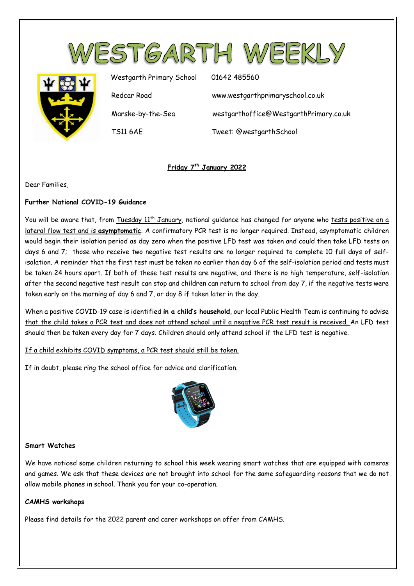



Westgarth Primary School 01642 485560

Redcar Road www.westgarthprimaryschool.co.uk

Marske-by-the-Sea westgarthoffice@WestgarthPrimary.co.uk

TS11 6AE Tweet: @westgarthSchool

# **Friday 7th January 2022**

Dear Families,

## **Further National COVID-19 Guidance**

You will be aware that, from Tuesday 11<sup>th</sup> January, national quidance has changed for anyone who tests positive on a lateral flow test and is **asymptomatic**. A confirmatory PCR test is no longer required. Instead, asymptomatic children would begin their isolation period as day zero when the positive LFD test was taken and could then take LFD tests on days 6 and 7; those who receive two negative test results are no longer required to complete 10 full days of selfisolation. A reminder that the first test must be taken no earlier than day 6 of the self-isolation period and tests must be taken 24 hours apart. If both of these test results are negative, and there is no high temperature, self-isolation after the second negative test result can stop and children can return to school from day 7, if the negative tests were taken early on the morning of day 6 and 7, or day 8 if taken later in the day.

When a positive COVID-19 case is identified **in a child's household**, our local Public Health Team is continuing to advise that the child takes a PCR test and does not attend school until a negative PCR test result is received. An LFD test should then be taken every day for 7 days. Children should only attend school if the LFD test is negative.

## If a child exhibits COVID symptoms, a PCR test should still be taken.

If in doubt, please ring the school office for advice and clarification.



### **Smart Watches**

We have noticed some children returning to school this week wearing smart watches that are equipped with cameras and games. We ask that these devices are not brought into school for the same safeguarding reasons that we do not allow mobile phones in school. Thank you for your co-operation.

### **CAMHS workshops**

Please find details for the 2022 parent and carer workshops on offer from CAMHS.